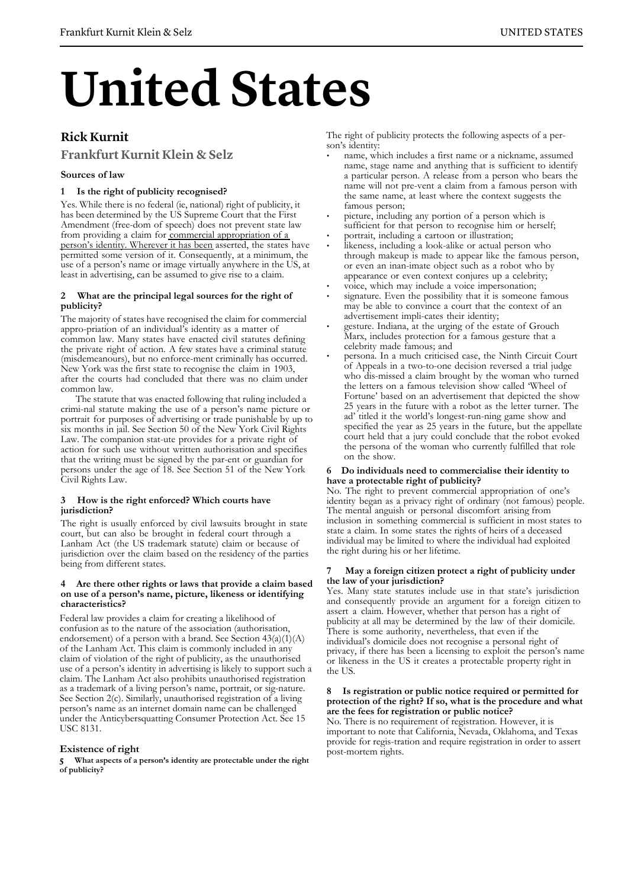# **United States**

## **Rick Kurnit**

### **Frankfurt Kurnit Klein & Selz**

#### **Sources of law**

#### **1 Is the right of publicity recognised?**

Yes. While there is no federal (ie, national) right of publicity, it has been determined by the US Supreme Court that the First Amendment (free-dom of speech) does not prevent state law from providing a claim for commercial appropriation of a person's identity. Wherever it has been asserted, the states have permitted some version of it. Consequently, at a minimum, the use of a person's name or image virtually anywhere in the US, at least in advertising, can be assumed to give rise to a claim.

#### **2 What are the principal legal sources for the right of publicity?**

The majority of states have recognised the claim for commercial appro-priation of an individual's identity as a matter of common law. Many states have enacted civil statutes defining the private right of action. A few states have a criminal statute (misdemeanours), but no enforce-ment criminally has occurred. New York was the first state to recognise the claim in 1903, after the courts had concluded that there was no claim under common law.

The statute that was enacted following that ruling included a crimi-nal statute making the use of a person's name picture or portrait for purposes of advertising or trade punishable by up to six months in jail. See Section 50 of the New York Civil Rights Law. The companion stat-ute provides for a private right of action for such use without written authorisation and specifies that the writing must be signed by the par-ent or guardian for persons under the age of 18. See Section 51 of the New York Civil Rights Law.

#### **3 How is the right enforced? Which courts have jurisdiction?**

The right is usually enforced by civil lawsuits brought in state court, but can also be brought in federal court through a Lanham Act (the US trademark statute) claim or because of jurisdiction over the claim based on the residency of the parties being from different states.

#### **4 Are there other rights or laws that provide a claim based on use of a person's name, picture, likeness or identifying characteristics?**

Federal law provides a claim for creating a likelihood of confusion as to the nature of the association (authorisation, endorsement) of a person with a brand. See Section  $43(a)(1)(A)$ of the Lanham Act. This claim is commonly included in any claim of violation of the right of publicity, as the unauthorised use of a person's identity in advertising is likely to support such a claim. The Lanham Act also prohibits unauthorised registration as a trademark of a living person's name, portrait, or sig-nature. See Section 2(c). Similarly, unauthorised registration of a living person's name as an internet domain name can be challenged under the Anticybersquatting Consumer Protection Act. See 15 USC 8131.

#### **Existence of right**

**5 What aspects of a person's identity are protectable under the right of publicity?**

The right of publicity protects the following aspects of a person's identity:

- name, which includes a first name or a nickname, assumed name, stage name and anything that is sufficient to identify a particular person. A release from a person who bears the name will not pre-vent a claim from a famous person with the same name, at least where the context suggests the famous person;
- picture, including any portion of a person which is sufficient for that person to recognise him or herself;
- portrait, including a cartoon or illustration;
- likeness, including a look-alike or actual person who through makeup is made to appear like the famous person, or even an inan-imate object such as a robot who by appearance or even context conjures up a celebrity;
- voice, which may include a voice impersonation;
- signature. Even the possibility that it is someone famous may be able to convince a court that the context of an advertisement impli-cates their identity;
- gesture. Indiana, at the urging of the estate of Grouch Marx, includes protection for a famous gesture that a celebrity made famous; and
- persona. In a much criticised case, the Ninth Circuit Court of Appeals in a two-to-one decision reversed a trial judge who dis-missed a claim brought by the woman who turned the letters on a famous television show called 'Wheel of Fortune' based on an advertisement that depicted the show 25 years in the future with a robot as the letter turner. The ad' titled it the world's longest-run-ning game show and specified the year as 25 years in the future, but the appellate court held that a jury could conclude that the robot evoked the persona of the woman who currently fulfilled that role on the show.

#### **6 Do individuals need to commercialise their identity to have a protectable right of publicity?**

No. The right to prevent commercial appropriation of one's identity began as a privacy right of ordinary (not famous) people. The mental anguish or personal discomfort arising from inclusion in something commercial is sufficient in most states to state a claim. In some states the rights of heirs of a deceased individual may be limited to where the individual had exploited the right during his or her lifetime.

#### **7 May a foreign citizen protect a right of publicity under the law of your jurisdiction?**

Yes. Many state statutes include use in that state's jurisdiction and consequently provide an argument for a foreign citizen to assert a claim. However, whether that person has a right of publicity at all may be determined by the law of their domicile. There is some authority, nevertheless, that even if the individual's domicile does not recognise a personal right of privacy, if there has been a licensing to exploit the person's name or likeness in the US it creates a protectable property right in the US.

#### **8 Is registration or public notice required or permitted for protection of the right? If so, what is the procedure and what are the fees for registration or public notice?**

No. There is no requirement of registration. However, it is important to note that California, Nevada, Oklahoma, and Texas provide for regis-tration and require registration in order to assert post-mortem rights.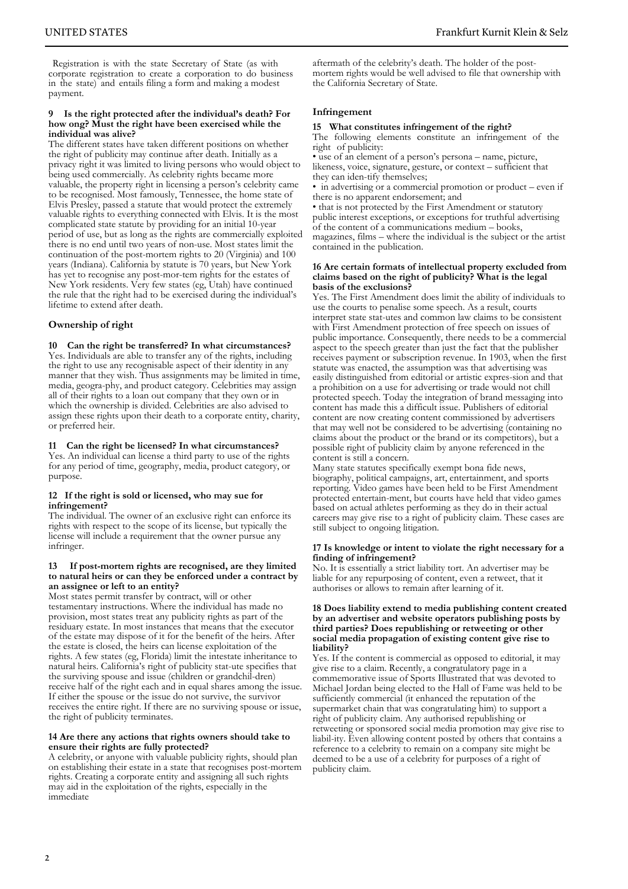Registration is with the state Secretary of State (as with corporate registration to create a corporation to do business in the state) and entails filing a form and making a modest payment.

#### **9 Is the right protected after the individual's death? For how ong? Must the right have been exercised while the individual was alive?**

The different states have taken different positions on whether the right of publicity may continue after death. Initially as a privacy right it was limited to living persons who would object to being used commercially. As celebrity rights became more valuable, the property right in licensing a person's celebrity came to be recognised. Most famously, Tennessee, the home state of Elvis Presley, passed a statute that would protect the extremely valuable rights to everything connected with Elvis. It is the most complicated state statute by providing for an initial 10-year period of use, but as long as the rights are commercially exploited there is no end until two years of non-use. Most states limit the continuation of the post-mortem rights to 20 (Virginia) and 100 years (Indiana). California by statute is 70 years, but New York has yet to recognise any post-mor-tem rights for the estates of New York residents. Very few states (eg, Utah) have continued the rule that the right had to be exercised during the individual's lifetime to extend after death.

#### **Ownership of right**

#### **10 Can the right be transferred? In what circumstances?** Yes. Individuals are able to transfer any of the rights, including

the right to use any recognisable aspect of their identity in any manner that they wish. Thus assignments may be limited in time, media, geogra-phy, and product category. Celebrities may assign all of their rights to a loan out company that they own or in which the ownership is divided. Celebrities are also advised to assign these rights upon their death to a corporate entity, charity, or preferred heir.

#### **11 Can the right be licensed? In what circumstances?**

Yes. An individual can license a third party to use of the rights for any period of time, geography, media, product category, or purpose.

#### **12 If the right is sold or licensed, who may sue for infringement?**

The individual. The owner of an exclusive right can enforce its rights with respect to the scope of its license, but typically the license will include a requirement that the owner pursue any infringer.

#### **13 If post-mortem rights are recognised, are they limited to natural heirs or can they be enforced under a contract by an assignee or left to an entity?**

Most states permit transfer by contract, will or other testamentary instructions. Where the individual has made no provision, most states treat any publicity rights as part of the residuary estate. In most instances that means that the executor of the estate may dispose of it for the benefit of the heirs. After the estate is closed, the heirs can license exploitation of the rights. A few states (eg, Florida) limit the intestate inheritance to natural heirs. California's right of publicity stat-ute specifies that the surviving spouse and issue (children or grandchil-dren) receive half of the right each and in equal shares among the issue. If either the spouse or the issue do not survive, the survivor receives the entire right. If there are no surviving spouse or issue, the right of publicity terminates.

#### **14 Are there any actions that rights owners should take to ensure their rights are fully protected?**

A celebrity, or anyone with valuable publicity rights, should plan on establishing their estate in a state that recognises post-mortem rights. Creating a corporate entity and assigning all such rights may aid in the exploitation of the rights, especially in the immediate

aftermath of the celebrity's death. The holder of the postmortem rights would be well advised to file that ownership with the California Secretary of State.

#### **Infringement**

#### **15 What constitutes infringement of the right?**

The following elements constitute an infringement of the right of publicity:

• use of an element of a person's persona – name, picture, likeness, voice, signature, gesture, or context – sufficient that they can iden-tify themselves;

• in advertising or a commercial promotion or product – even if there is no apparent endorsement; and

• that is not protected by the First Amendment or statutory public interest exceptions, or exceptions for truthful advertising of the content of a communications medium – books, magazines, films – where the individual is the subject or the artist contained in the publication.

#### **16 Are certain formats of intellectual property excluded from claims based on the right of publicity? What is the legal basis of the exclusions?**

Yes. The First Amendment does limit the ability of individuals to use the courts to penalise some speech. As a result, courts interpret state stat-utes and common law claims to be consistent with First Amendment protection of free speech on issues of public importance. Consequently, there needs to be a commercial aspect to the speech greater than just the fact that the publisher receives payment or subscription revenue. In 1903, when the first statute was enacted, the assumption was that advertising was easily distinguished from editorial or artistic expres-sion and that a prohibition on a use for advertising or trade would not chill protected speech. Today the integration of brand messaging into content has made this a difficult issue. Publishers of editorial content are now creating content commissioned by advertisers that may well not be considered to be advertising (containing no claims about the product or the brand or its competitors), but a possible right of publicity claim by anyone referenced in the content is still a concern.

Many state statutes specifically exempt bona fide news, biography, political campaigns, art, entertainment, and sports reporting. Video games have been held to be First Amendment protected entertain-ment, but courts have held that video games based on actual athletes performing as they do in their actual careers may give rise to a right of publicity claim. These cases are still subject to ongoing litigation.

#### **17 Is knowledge or intent to violate the right necessary for a finding of infringement?**

No. It is essentially a strict liability tort. An advertiser may be liable for any repurposing of content, even a retweet, that it authorises or allows to remain after learning of it.

#### **18 Does liability extend to media publishing content created by an advertiser and website operators publishing posts by third parties? Does republishing or retweeting or other social media propagation of existing content give rise to liability?**

Yes. If the content is commercial as opposed to editorial, it may give rise to a claim. Recently, a congratulatory page in a commemorative issue of Sports Illustrated that was devoted to Michael Jordan being elected to the Hall of Fame was held to be sufficiently commercial (it enhanced the reputation of the supermarket chain that was congratulating him) to support a right of publicity claim. Any authorised republishing or retweeting or sponsored social media promotion may give rise to liabil-ity. Even allowing content posted by others that contains a reference to a celebrity to remain on a company site might be deemed to be a use of a celebrity for purposes of a right of publicity claim.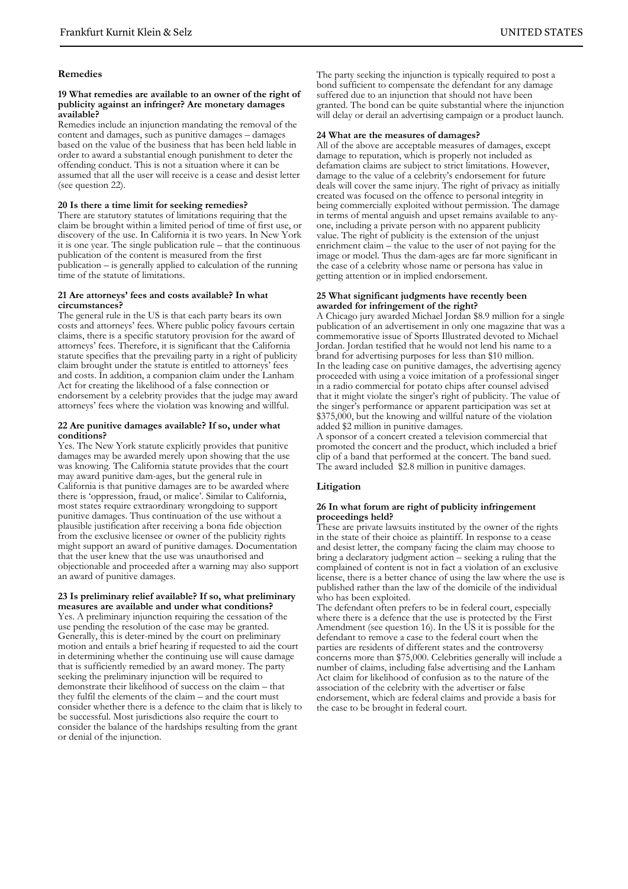#### **Remedies**

#### **19 What remedies are available to an owner of the right of publicity against an infringer? Are monetary damages available?**

Remedies include an injunction mandating the removal of the content and damages, such as punitive damages – damages based on the value of the business that has been held liable in order to award a substantial enough punishment to deter the offending conduct. This is not a situation where it can be assumed that all the user will receive is a cease and desist letter (see question 22).

#### **20 Is there a time limit for seeking remedies?**

There are statutory statutes of limitations requiring that the claim be brought within a limited period of time of first use, or discovery of the use. In California it is two years. In New York it is one year. The single publication rule – that the continuous publication of the content is measured from the first publication – is generally applied to calculation of the running time of the statute of limitations.

#### **21 Are attorneys' fees and costs available? In what circumstances?**

The general rule in the US is that each party bears its own costs and attorneys' fees. Where public policy favours certain claims, there is a specific statutory provision for the award of attorneys' fees. Therefore, it is significant that the California statute specifies that the prevailing party in a right of publicity claim brought under the statute is entitled to attorneys' fees and costs. In addition, a companion claim under the Lanham Act for creating the likelihood of a false connection or endorsement by a celebrity provides that the judge may award attorneys' fees where the violation was knowing and willful.

#### **22 Are punitive damages available? If so, under what conditions?**

Yes. The New York statute explicitly provides that punitive damages may be awarded merely upon showing that the use was knowing. The California statute provides that the court may award punitive dam-ages, but the general rule in California is that punitive damages are to be awarded where there is 'oppression, fraud, or malice'. Similar to California, most states require extraordinary wrongdoing to support punitive damages. Thus continuation of the use without a plausible justification after receiving a bona fide objection from the exclusive licensee or owner of the publicity rights might support an award of punitive damages. Documentation that the user knew that the use was unauthorised and objectionable and proceeded after a warning may also support an award of punitive damages.

#### **23 Is preliminary relief available? If so, what preliminary measures are available and under what conditions?**

Yes. A preliminary injunction requiring the cessation of the use pending the resolution of the case may be granted. Generally, this is deter-mined by the court on preliminary motion and entails a brief hearing if requested to aid the court in determining whether the continuing use will cause damage that is sufficiently remedied by an award money. The party seeking the preliminary injunction will be required to demonstrate their likelihood of success on the claim – that they fulfil the elements of the claim – and the court must consider whether there is a defence to the claim that is likely to be successful. Most jurisdictions also require the court to consider the balance of the hardships resulting from the grant or denial of the injunction.

The party seeking the injunction is typically required to post a bond sufficient to compensate the defendant for any damage suffered due to an injunction that should not have been granted. The bond can be quite substantial where the injunction will delay or derail an advertising campaign or a product launch.

#### **24 What are the measures of damages?**

All of the above are acceptable measures of damages, except damage to reputation, which is properly not included as defamation claims are subject to strict limitations. However, damage to the value of a celebrity's endorsement for future deals will cover the same injury. The right of privacy as initially created was focused on the offence to personal integrity in being commercially exploited without permission. The damage in terms of mental anguish and upset remains available to anyone, including a private person with no apparent publicity value. The right of publicity is the extension of the unjust enrichment claim – the value to the user of not paying for the image or model. Thus the dam-ages are far more significant in the case of a celebrity whose name or persona has value in getting attention or in implied endorsement.

#### **25 What significant judgments have recently been awarded for infringement of the right?**

A Chicago jury awarded Michael Jordan \$8.9 million for a single publication of an advertisement in only one magazine that was a commemorative issue of Sports Illustrated devoted to Michael Jordan. Jordan testified that he would not lend his name to a brand for advertising purposes for less than \$10 million. In the leading case on punitive damages, the advertising agency proceeded with using a voice imitation of a professional singer in a radio commercial for potato chips after counsel advised that it might violate the singer's right of publicity. The value of the singer's performance or apparent participation was set at \$375,000, but the knowing and willful nature of the violation added \$2 million in punitive damages.

A sponsor of a concert created a television commercial that promoted the concert and the product, which included a brief clip of a band that performed at the concert. The band sued. The award included \$2.8 million in punitive damages.

#### **Litigation**

#### **26 In what forum are right of publicity infringement proceedings held?**

These are private lawsuits instituted by the owner of the rights in the state of their choice as plaintiff. In response to a cease and desist letter, the company facing the claim may choose to bring a declaratory judgment action – seeking a ruling that the complained of content is not in fact a violation of an exclusive license, there is a better chance of using the law where the use is published rather than the law of the domicile of the individual who has been exploited.

The defendant often prefers to be in federal court, especially where there is a defence that the use is protected by the First Amendment (see question 16). In the US it is possible for the defendant to remove a case to the federal court when the parties are residents of different states and the controversy concerns more than \$75,000. Celebrities generally will include a number of claims, including false advertising and the Lanham Act claim for likelihood of confusion as to the nature of the association of the celebrity with the advertiser or false endorsement, which are federal claims and provide a basis for the case to be brought in federal court.